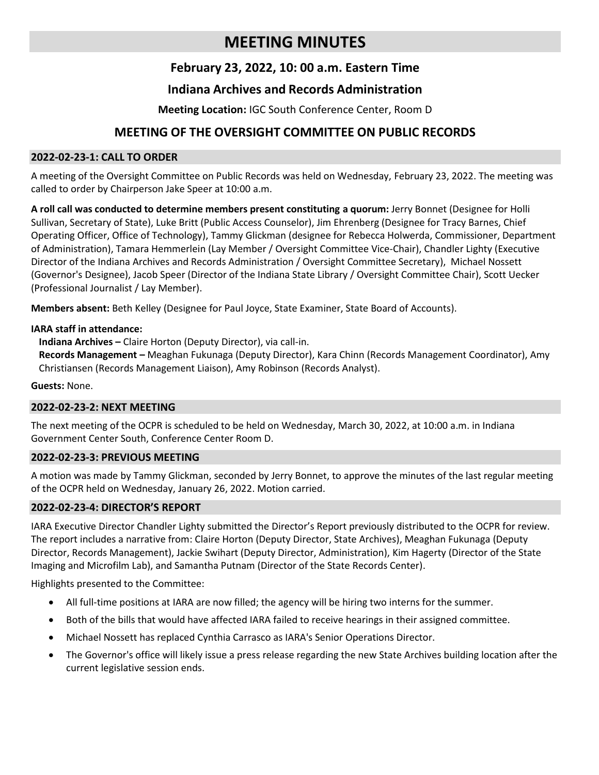# **MEETING MINUTES**

# **February 23, 2022, 10: 00 a.m. Eastern Time**

# **Indiana Archives and Records Administration**

**Meeting Location:** IGC South Conference Center, Room D

# **MEETING OF THE OVERSIGHT COMMITTEE ON PUBLIC RECORDS**

### **2022-02-23-1: CALL TO ORDER**

A meeting of the Oversight Committee on Public Records was held on Wednesday, February 23, 2022. The meeting was called to order by Chairperson Jake Speer at 10:00 a.m.

**A roll call was conducted to determine members present constituting a quorum:** Jerry Bonnet (Designee for Holli Sullivan, Secretary of State), Luke Britt (Public Access Counselor), Jim Ehrenberg (Designee for Tracy Barnes, Chief Operating Officer, Office of Technology), Tammy Glickman (designee for Rebecca Holwerda, Commissioner, Department of Administration), Tamara Hemmerlein (Lay Member / Oversight Committee Vice-Chair), Chandler Lighty (Executive Director of the Indiana Archives and Records Administration / Oversight Committee Secretary), Michael Nossett (Governor's Designee), Jacob Speer (Director of the Indiana State Library / Oversight Committee Chair), Scott Uecker (Professional Journalist / Lay Member).

**Members absent:** Beth Kelley (Designee for Paul Joyce, State Examiner, State Board of Accounts).

### **IARA staff in attendance:**

**Indiana Archives –** Claire Horton (Deputy Director), via call-in.

**Records Management –** Meaghan Fukunaga (Deputy Director), Kara Chinn (Records Management Coordinator), Amy Christiansen (Records Management Liaison), Amy Robinson (Records Analyst).

#### **Guests:** None.

# **2022-02-23-2: NEXT MEETING**

The next meeting of the OCPR is scheduled to be held on Wednesday, March 30, 2022, at 10:00 a.m. in Indiana Government Center South, Conference Center Room D.

# **2022-02-23-3: PREVIOUS MEETING**

A motion was made by Tammy Glickman, seconded by Jerry Bonnet, to approve the minutes of the last regular meeting of the OCPR held on Wednesday, January 26, 2022. Motion carried.

# **2022-02-23-4: DIRECTOR'S REPORT**

IARA Executive Director Chandler Lighty submitted the Director's Report previously distributed to the OCPR for review. The report includes a narrative from: Claire Horton (Deputy Director, State Archives), Meaghan Fukunaga (Deputy Director, Records Management), Jackie Swihart (Deputy Director, Administration), Kim Hagerty (Director of the State Imaging and Microfilm Lab), and Samantha Putnam (Director of the State Records Center).

Highlights presented to the Committee:

- All full-time positions at IARA are now filled; the agency will be hiring two interns for the summer.
- Both of the bills that would have affected IARA failed to receive hearings in their assigned committee.
- Michael Nossett has replaced Cynthia Carrasco as IARA's Senior Operations Director.
- The Governor's office will likely issue a press release regarding the new State Archives building location after the current legislative session ends.